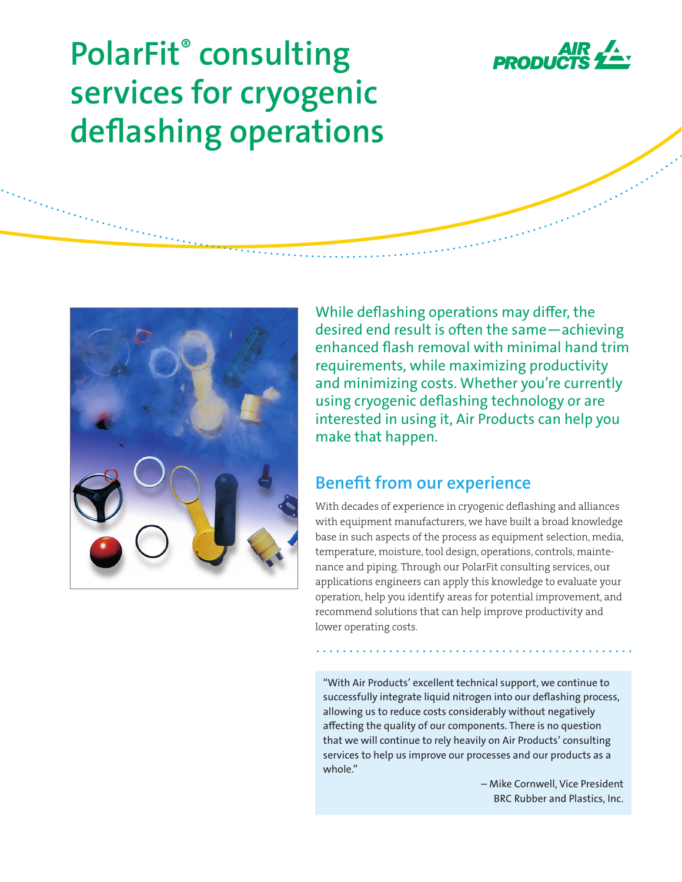

# **PolarFit® consulting services for cryogenic deflashing operations**



While deflashing operations may differ, the desired end result is often the same—achieving enhanced flash removal with minimal hand trim requirements, while maximizing productivity and minimizing costs. Whether you're currently using cryogenic deflashing technology or are interested in using it, Air Products can help you make that happen.

### **Benefit from our experience**

With decades of experience in cryogenic deflashing and alliances with equipment manufacturers, we have built a broad knowledge base in such aspects of the process as equipment selection, media, temperature, moisture, tool design, operations, controls, maintenance and piping. Through our PolarFit consulting services, our applications engineers can apply this knowledge to evaluate your operation, help you identify areas for potential improvement, and recommend solutions that can help improve productivity and lower operating costs.

"With Air Products' excellent technical support, we continue to successfully integrate liquid nitrogen into our deflashing process, allowing us to reduce costs considerably without negatively affecting the quality of our components. There is no question that we will continue to rely heavily on Air Products' consulting services to help us improve our processes and our products as a whole."

> – Mike Cornwell, Vice President BRC Rubber and Plastics, Inc.